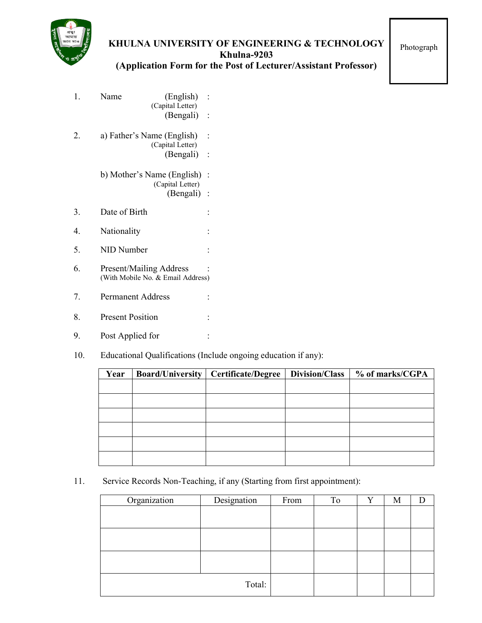

## **KHULNA UNIVERSITY OF ENGINEERING & TECHNOLOGY Khulna-9203 (Application Form for the Post of Lecturer/Assistant Professor)**

Photograph

| 1. | Name                       | (English)<br>(Capital Letter)<br>(Bengali)                  |                                        |
|----|----------------------------|-------------------------------------------------------------|----------------------------------------|
| 2. | a) Father's Name (English) | (Capital Letter)<br>(Bengali)                               |                                        |
|    |                            | b) Mother's Name (English)<br>(Capital Letter)<br>(Bengali) | $\ddot{\cdot}$<br>$\ddot{\phantom{a}}$ |
| 3. | Date of Birth              |                                                             |                                        |
| 4. | Nationality                |                                                             |                                        |
| 5. | NID Number                 |                                                             |                                        |
| 6. | Present/Mailing Address    | (With Mobile No. & Email Address)                           |                                        |
| 7. | <b>Permanent Address</b>   |                                                             |                                        |
| 8. | <b>Present Position</b>    |                                                             |                                        |
|    |                            |                                                             |                                        |

- 9. Post Applied for :
- 10. Educational Qualifications (Include ongoing education if any):

| Year | <b>Board/University</b> | <b>Certificate/Degree</b> | Division/Class | % of marks/CGPA |
|------|-------------------------|---------------------------|----------------|-----------------|
|      |                         |                           |                |                 |
|      |                         |                           |                |                 |
|      |                         |                           |                |                 |
|      |                         |                           |                |                 |
|      |                         |                           |                |                 |
|      |                         |                           |                |                 |

11. Service Records Non-Teaching, if any (Starting from first appointment):

| Organization | Designation | From | To | Y | M |  |
|--------------|-------------|------|----|---|---|--|
|              |             |      |    |   |   |  |
|              |             |      |    |   |   |  |
|              |             |      |    |   |   |  |
|              |             |      |    |   |   |  |
|              |             |      |    |   |   |  |
|              |             |      |    |   |   |  |
|              |             |      |    |   |   |  |
|              |             |      |    |   |   |  |